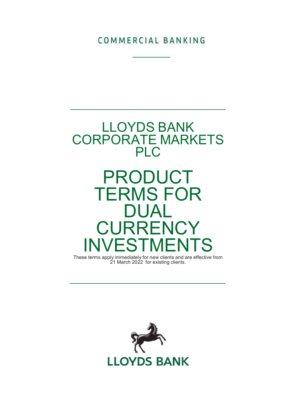COMMERCIAL BANKING



These terms apply immediately for new clients and are effective from 21 March 2022 for existing clients.

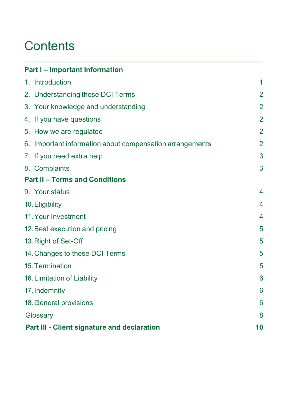## **Contents**

| <b>Part I - Important Information</b>                    |                 |
|----------------------------------------------------------|-----------------|
| 1. Introduction                                          | 1               |
| 2. Understanding these DCI Terms                         | $\overline{2}$  |
| 3. Your knowledge and understanding                      | $\overline{2}$  |
| 4. If you have questions                                 | $\overline{2}$  |
| 5. How we are regulated                                  | $\overline{2}$  |
| 6. Important information about compensation arrangements | $\overline{2}$  |
| 7. If you need extra help                                | 3               |
| 8. Complaints                                            | 3               |
| <b>Part II - Terms and Conditions</b>                    |                 |
| 9. Your status                                           | 4               |
| 10. Eligibility                                          | 4               |
| 11. Your Investment                                      | 4               |
| 12. Best execution and pricing                           | 5               |
| 13. Right of Set-Off                                     | 5               |
| 14. Changes to these DCI Terms                           | 5               |
| 15. Termination                                          | 5               |
| 16. Limitation of Liability                              | $6\phantom{1}6$ |
| 17. Indemnity                                            | 6               |
| 18. General provisions                                   | 6               |
| Glossary                                                 | 8               |
| Part III - Client signature and declaration              | 10              |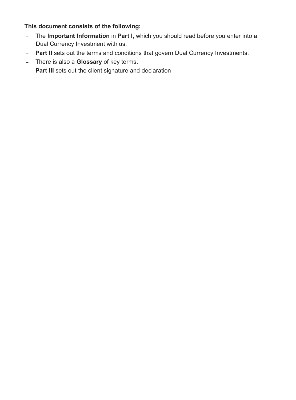## This document consists of the following:

- The Important Information in Part I, which you should read before you enter into a Dual Currency Investment with us.
- Part II sets out the terms and conditions that govern Dual Currency Investments.
- There is also a **Glossary** of key terms.
- **Part III** sets out the client signature and declaration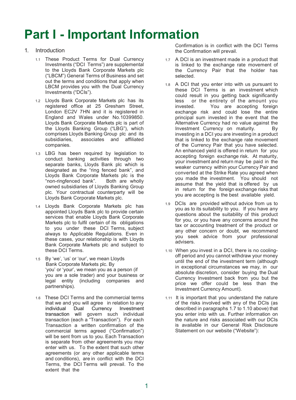# Part I - Important Information

## 1. Introduction

- 1.1 These Product Terms for Dual Currency Investments ("DCI Terms") are supplemental to the Lloyds Bank Corporate Markets plc ("LBCM") General Terms of Business and set out the terms and conditions that apply when LBCM provides you with the Dual Currency Investments ("DCIs").
- 1.2 Lloyds Bank Corporate Markets plc has its registered office at 25 Gresham Street, London EC2V 7HN and it is registered in England and Wales under No.10399850. Lloyds Bank Corporate Markets plc is part of the Lloyds Banking Group ("LBG"), which comprises Lloyds Banking Group plc and its<br>subsidiaries associates and affiliated associates and affiliated companies.
- 1.3 LBG has been required by legislation to conduct banking activities through two separate banks, Lloyds Bank plc which is designated as the "ring fenced bank", and Lloyds Bank Corporate Markets plc is the "non-ringfenced bank". Both are wholly owned subsidiaries of Lloyds Banking Group plc. Your contractual counterparty will be Lloyds Bank Corporate Markets plc.
- 1.4 Lloyds Bank Corporate Markets plc has appointed Lloyds Bank plc to provide certain services that enable Lloyds Bank Corporate Markets plc to fulfil certain of its obligations to you under these DCI Terms, subject always to Applicable Regulations. Even in these cases, your relationship is with Lloyds Bank Corporate Markets plc and subject to these DCI Terms.
- 1.5 By 'we', 'us' or 'our', we mean Lloyds Bank Corporate Markets plc. By 'you' or 'your', we mean you as a person (if you are a sole trader) and your business or legal entity (including companies and partnerships).
- 1.6 These DCI Terms and the commercial terms that we and you will agree in relation to any individual Dual Currency Investment transaction will govern such individual transaction (each a "Transaction"). For each Transaction a written confirmation of the commercial terms agreed ("Confirmation") will be sent from us to you. Each Transaction is separate from other agreements you may enter with us. To the extent that such other agreements (or any other applicable terms and conditions), are in conflict with the DCI Terms, the DCI Terms will prevail. To the extent that the

Confirmation is in conflict with the DCI Terms the Confirmation will prevail.

- 1.7 A DCI is an investment made in a product that is linked to the exchange rate movement of the Currency Pair that the holder has selected.
- 1.8 A DCI that you enter into with us pursuant to these DCI Terms is an investment which could result in you getting back significantly less or the entirety of the amount you invested. You are accepting foreign exchange risk and could lose the entire principal sum invested in the event that the Alternative Currency had no value against the Investment Currency on maturity. By investing in a DCI you are investing in a product that is linked to the exchange rate movement of the Currency Pair that you have selected. An enhanced yield is offered in return for you accepting foreign exchange risk. At maturity, your investment and return may be paid in the weaker currency within your Currency Pair and converted at the Strike Rate you agreed when you made the investment. You should not assume that the yield that is offered by us in return for the foreign exchange risks that you are accepting is the best available yield.
- 1.9 DCIs are provided without advice from us to you as to its suitability to you. If you have any questions about the suitability of this product for you, or you have any concerns around the tax or accounting treatment of the product or any other concern or doubt, we recommend you seek advice from your professional advisers.
- 1.10 When you invest in a DCI, there is no coolingoff period and you cannot withdraw your money until the end of the investment term (although in exceptional circumstances we may, in our absolute discretion, consider buying the Dual Currency Investment back from you but the price we offer could be less than the Investment Currency Amount).
- 1.11 It is important that you understand the nature of the risks involved with any of the DCIs (as described in paragraphs 1.7 to 1.10 above) that you enter into with us. Further information on the nature and risks associated with our DCIs is available in our General Risk Disclosure Statement on our website ("Website"):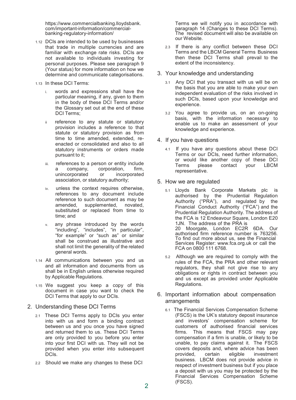https://www.commercialbanking.lloydsbank. com/important-information/commercialbanking-regulatory-information/

- 1.12 DCIs are intended to be used by businesses that trade in multiple currencies and are familiar with exchange rate risks. DCIs are not available to individuals investing for personal purposes. Please see paragraph 9 (Your status) for more information on how we determine and communicate categorisations.
- 1.13 In these DCI Terms:
	- i. words and expressions shall have the particular meaning, if any, given to them in the body of these DCI Terms and/or the Glossary set out at the end of these DCI Terms:
	- ii reference to any statute or statutory provision includes a reference to that statute or statutory provision as from time to time amended, extended, reenacted or consolidated and also to all statutory instruments or orders made pursuant to it;
	- references to a person or entity include a company, corporation, firm, unincorporated or incorporated association, or statutory authority;
	- iv. unless the context requires otherwise, references to any document include reference to such document as may be amended, supplemented, novated, substituted or replaced from time to time; and
	- v. any phrase introduced by the words "including", "includes", "in particular", "for example" or "such as" or similar shall be construed as illustrative and shall not limit the generality of the related general words.
- 1.14 All communications between you and us and all information and documents from us shall be in English unless otherwise required by Applicable Regulations.
- 1.15 We suggest you keep a copy of this document in case you want to check the DCI Terms that apply to our DCIs.
- 2. Understanding these DCI Terms
	- 2.1 These DCI Terms apply to DCIs you enter into with us and form a binding contract between us and you once you have signed and returned them to us. These DCI Terms are only provided to you before you enter into your first DCI with us. They will not be provided when you enter into subsequent DCIs.
	- 2.2 Should we make any changes to these DCI

Terms we will notify you in accordance with paragraph 14 (Changes to these DCI Terms). The revised document will also be available on our Website.

- 2.3 If there is any conflict between these DCI Terms and the LBCM General Terms Business then these DCI Terms shall prevail to the extent of the inconsistency.
- 3. Your knowledge and understanding
	- 3.1 Any DCI that you transact with us will be on the basis that you are able to make your own independent evaluation of the risks involved in such DCIs, based upon your knowledge and experience.
	- 3.2 You agree to provide us, on an on-going basis, with the information necessary to enable us to make an assessment of your knowledge and experience.
- 4. If you have questions
	- 4.1 If you have any questions about these DCI Terms or our DCIs, need further information, or would like another copy of these DCI<br>Terms please contact your LBCM Terms please contact your LBCM representative.
- 5. How we are regulated
	- 5.1 Lloyds Bank Corporate Markets plc is authorised by the Prudential Regulation Authority ("PRA"), and regulated by the Financial Conduct Authority ("FCA") and the Prudential Regulation Authority. The address of the FCA is 12 Endeavour Square, London E20 1JN. The address of the PRA is 20 Moorgate, London EC2R 6DA. Our authorised firm reference number is 763256. To find out more about us, see the Financial Services Register: www.fca.org.uk or call the FCA on 0800 111 6768.
	- 5.2 Although we are required to comply with the rules of the FCA, the PRA and other relevant regulators, they shall not give rise to any obligations or rights in contract between you and us except as provided under Applicable Regulations.
- 6. Important information about compensation arrangements
	- 6.1 The Financial Services Compensation Scheme (FSCS) is the UK's statutory deposit insurance and investors' compensation scheme for customers of authorised financial services firms. This means that FSCS may pay compensation if a firm is unable, or likely to be unable, to pay claims against it. The FSCS covers deposits and, where advice has been<br>provided, certain eligible investment provided, certain eligible investment business. LBCM does not provide advice in respect of investment business but if you place a deposit with us you may be protected by the Financial Services Compensation Scheme (FSCS).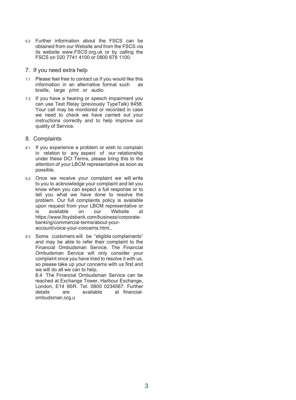- 6.2 Further information about the FSCS can be obtained from our Website and from the FSCS via its website www.FSCS.org.uk or by calling the FSCS on 020 7741 4100 or 0800 678 1100.
- 7. If you need extra help
- 7.1 Please feel free to contact us if you would like this information in an alternative format such as braille, large print or audio.
- 7.2 If you have a hearing or speech impairment you can use Text Relay (previously TypeTalk) 6458. Your call may be monitored or recorded in case we need to check we have carried out your instructions correctly and to help improve our quality of Service.

### 8. Complaints

- 8.1 If you experience a problem or wish to complain in relation to any aspect of our relationship under these DCI Terms, please bring this to the attention of your LBCM representative as soon as possible.
- 8.2 Once we receive your complaint we will write to you to acknowledge your complaint and let you know when you can expect a full response or to tell you what we have done to resolve the problem. Our full complaints policy is available upon request from your LBCM representative or is available on our Website at https://www.lloydsbank.com/business/corporatebanking/commercial-terms/about-youraccount/voice-your-concerns.html..
- 8.3 Some customers will be "eligible complainants" and may be able to refer their complaint to the Financial Ombudsman Service. The Financial Ombudsman Service will only consider your complaint once you have tried to resolve it with us, so please take up your concerns with us first and we will do all we can to help.

8.4 The Financial Ombudsman Service can be reached at Exchange Tower, Harbour Exchange, London, E14 9SR. Tel: 0800 0234567. Further are available at financialombudsman.org.u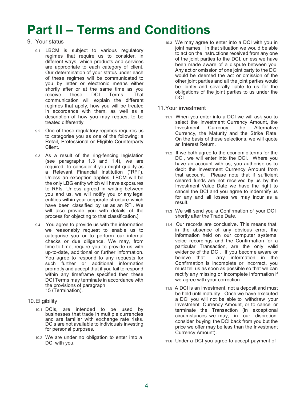## Part II – Terms and Conditions

- 9. Your status
	- 9.1 LBCM is subject to various regulatory regimes that require us to consider, in different ways, which products and services are appropriate to each category of client. Our determination of your status under each of these regimes will be communicated to you by letter or electronic means either shortly after or at the same time as you receive these DCI Terms. That Terms. communication will explain the different regimes that apply, how you will be treated in accordance with them, as well as a description of how you may request to be treated differently.
	- 9.2 One of these regulatory regimes requires us to categorise you as one of the following: a Retail, Professional or Eligible Counterparty Client.
	- 9.3 As a result of the ring-fencing legislation (see paragraphs 1.3 and 1.4), we are required to consider if you might qualify as a Relevant Financial Institution ("RFI"). Unless an exception applies, LBCM will be the only LBG entity which will have exposures to RFIs. Unless agreed in writing between you and us, we will notify you or any legal entities within your corporate structure which have been classified by us as an RFI. We will also provide you with details of the process for objecting to that classification.]
	- 9.4 You agree to provide us with the information we reasonably request to enable us to categorise you or to perform our internal checks or due diligence. We may, from time-to-time, require you to provide us with up-to-date, additional or further information. You agree to respond to any requests for such further or additional information promptly and accept that if you fail to respond within any timeframe specified then these DCI Terms may terminate in accordance with the provisions of paragraph 15 (Termination).
- 10.Eligibility
	- 10.1 DCIs, are intended to be used by businesses that trade in multiple currencies and are familiar with exchange rate risks. DCIs are not available to individuals investing for personal purposes.
	- 10.2 We are under no obligation to enter into a DCI with you.

10.3 We may agree to enter into a DCI with you in joint names. In that situation we would be able to act on the instructions received from any one of the joint parties to the DCI, unless we have been made aware of a dispute between you. Any act or omission of one joint party to the DCI would be deemed the act or omission of the other joint parties and all the joint parties would be jointly and severally liable to us for the obligations of the joint parties to us under the DCI.

## 11.Your investment

- 11.1 When you enter into a DCI we will ask you to select the Investment Currency Amount, the Investment Currency, the Alternative Currency, the Maturity and the Strike Rate. On the basis of these selections, we will quote an Interest Return.
- 11.2 If we both agree to the economic terms for the DCI, we will enter into the DCI. Where you have an account with us, you authorise us to debit the Investment Currency Amount from that account. Please note that if sufficient cleared funds are not received by us by the Investment Value Date we have the right to cancel the DCI and you agree to indemnify us for any and all losses we may incur as a result.
- 11.3 We will send you a Confirmation of your DCI shortly after the Trade Date.
- 11.4 Our records are conclusive. This means that, in the absence of any obvious error, the information held on our computer systems, voice recordings and the Confirmation for a particular Transaction, are the only valid evidence of the DCI. If you become aware or<br>believe that any information in the any information in the Confirmation is incomplete or incorrect, you must tell us as soon as possible so that we can rectify any missing or incomplete information if we agree with your correction.
- 11.5 A DCI is an investment, not a deposit and must be held until maturity. Once we have executed a DCI you will not be able to withdraw your Investment Currency Amount, or to cancel or terminate the Transaction (in exceptional circumstances we may, in our discretion, consider buying the DCI back from you but the price we offer may be less than the Investment Currency Amount).
- 11.6 Under a DCI you agree to accept payment of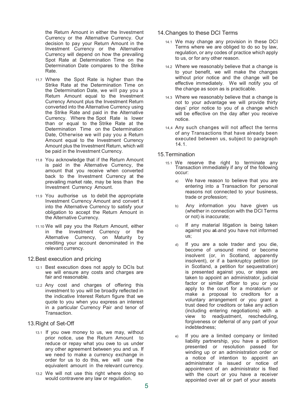the Return Amount in either the Investment Currency or the Alternative Currency. Our decision to pay your Return Amount in the Investment Currency or the Alternative Currency will depend on how the prevailing Spot Rate at Determination Time on the Determination Date compares to the Strike Rate.

- 11.7 Where the Spot Rate is higher than the Strike Rate at the Determination Time on the Determination Date, we will pay you a Return Amount equal to the Investment Currency Amount plus the Investment Return converted into the Alternative Currency using the Strike Rate and paid in the Alternative Currency. Where the Spot Rate is lower than or equal to the Strike Rate at the Determination Time on the Determination Date, Otherwise we will pay you a Return Amount equal to the Investment Currency Amount plus the Investment Return, which will be paid in the Investment Currency.
- 11.8 You acknowledge that if the Return Amount is paid in the Alternative Currency, the amount that you receive when converted back to the Investment Currency at the prevailing market rate, may be less than the Investment Currency Amount.
- 11.9 You authorise us to debit the appropriate Investment Currency Amount and convert it into the Alternative Currency to satisfy your obligation to accept the Return Amount in the Alternative Currency.
- 11.10 We will pay you the Return Amount, either in the Investment Currency or the Alternative Currency, on Maturity by crediting your account denominated in the relevant currency.

## 12.Best execution and pricing

- 12.1 Best execution does not apply to DCIs but we will ensure any costs and charges are fair and reasonable.
- 12.2 Any cost and charges of offering this investment to you will be broadly reflected in the indicative Interest Return figure that we quote to you when you express an interest in a particular Currency Pair and tenor of Transaction.

## 13.Right of Set-Off

- 13.1 If you owe money to us, we may, without prior notice, use the Return Amount to reduce or repay what you owe to us under any other agreement between you and us. If we need to make a currency exchange in order for us to do this, we will use the equivalent amount in the relevant currency.
- 13.2 We will not use this right where doing so would contravene any law or regulation.
- 14.Changes to these DCI Terms
	- 14.1 We may change any provision in these DCI Terms where we are obliged to do so by law, regulation, or any codes of practice which apply to us, or for any other reason.
	- 14.2 Where we reasonably believe that a change is to your benefit, we will make the changes without prior notice and the change will be effective immediately. We will notify you of the change as soon as is practicable.
	- 14.3 Where we reasonably believe that a change is not to your advantage we will provide thirty days' prior notice to you of a change which will be effective on the day after you receive notice.
	- 14,4 Any such changes will not affect the terms of any Transactions that have already been executed between us, subject to paragraph 14.1.

## 15.Termination

- 15.1 We reserve the right to terminate any Transaction immediately if any of the following occur:
	- a) We have reason to believe that you are entering into a Transaction for personal reasons not connected to your business, trade or profession;
	- b) Any information you have given us (whether in connection with the DCI Terms or not) is inaccurate;
	- c) If any material litigation is being taken against you at and you have not informed us;
	- d) If you are a sole trader and you die, become of unsound mind or become insolvent (or, in Scotland, apparently insolvent), or if a bankruptcy petition (or in Scotland, a petition for sequestration) is presented against you, or steps are taken to appoint an administrator, judicial factor or similar officer to you or you apply to the court for a moratorium or make a proposal to creditors for a voluntary arrangement or you grant a trust deed for creditors or take any action (including entering negotiations) with a view to readjustment, rescheduling, forgiveness or deferral of any part of your indebtedness;
	- e) If you are a limited company or limited liability partnership, you have a petition presented or resolution passed for winding up or an administration order or a notice of intention to appoint an administrator is issued or notice of appointment of an administrator is filed with the court or you have a receiver appointed over all or part of your assets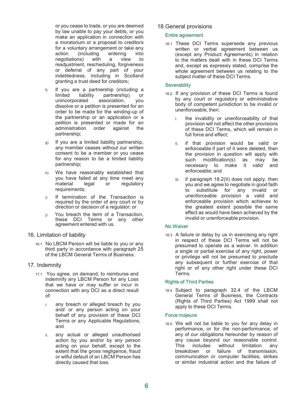or you cease to trade, or you are deemed by law unable to pay your debts, or you make an application in connection with a moratorium or a proposal to creditors for a voluntary arrangement or take any<br>action (including entering into (including entering into<br>
ons) with a view to negotiations) with readjustment, rescheduling, forgiveness or deferral of any part of your indebtedness, including in Scotland granting a trust deed for creditors;

- f) If you are a partnership (including a limited liability partnership) or unincorporated association, you dissolve or a petition is presented for an order to be made for the winding-up of the partnership or an application or a petition is presented or made for an administration order against the partnership;
- g) If you are a limited liability partnership, any member ceases without our written consent to be a member or you cease for any reason to be a limited liability partnership;
- h) We have reasonably established that you have failed at any time meet any<br>material legal or regulatory legal or requirements;
- i) If termination of the Transaction is required by the order of any court or by direction or decision of a regulator; or
- j) You breach the term of a Transaction, these DCI Terms or any other agreement entered with us.
- 16. Limitation of liability
	- 16.1 No LBCM Person will be liable to you or any third party in accordance with paragraph 25 of the LBCM General Terms of Business.

## 17. Indemnity

- 17.1 You agree, on demand, to reimburse and indemnify any LBCM Person for any Loss that we have or may suffer or incur in connection with any DCI as a direct result of:
	- i. any breach or alleged breach by you and/ or any person acting on your behalf of any provision of these DCI Terms or any Applicable Regulations; and
	- ii. any actual or alleged unauthorised action by you and/or by any person acting on your behalf, except to the extent that the gross negligence, fraud or wilful default of an LBCM Person has directly caused that loss.

## 18.General provisions

## Entire agreement

18.1 These DCI Terms supersede any previous written or verbal agreement between us (except any Product Agreements) in relation to the matters dealt with in these DCI Terms and, except as expressly stated, comprise the whole agreement between us relating to the subject matter of these DCI Terms.

## **Severability**

- 18.2 If any provision of these DCI Terms is found by any court or regulatory or administrative body of competent jurisdiction to be invalid or unenforceable, then:
	- I. the invalidity or unenforceability of that provision will not affect the other provisions of these DCI Terms, which will remain in full force and effect;
	- II. if that provision would be valid or enforceable if part of it were deleted, then the provision in question will apply with such modification(s) as may be necessary to make it valid and enforceable; and
	- III. if paragraph 18.2(II) does not apply, then you and we agree to negotiate in good faith to substitute for any invalid or unenforceable provision a valid and enforceable provision which achieves to the greatest extent possible the same effect as would have been achieved by the invalid or unenforceable provision.

## No Waiver

18.3 A failure or delay by us in exercising any right in respect of these DCI Terms will not be presumed to operate as a waiver. In addition a single or partial exercise of any right, power or privilege will not be presumed to preclude any subsequent or further exercise of that right or of any other right under these DCI Terms.

## Rights of Third Parties

18.4 Subject to paragraph 32.4 of the LBCM General Terms of Business, the Contracts (Rights of Third Parties) Act 1999 shall not apply to these DCI Terms.

### Force majeure

18.5 We will not be liable to you for any delay in performance, or for the non-performance, of any of our obligations hereunder by reason of any cause beyond our reasonable control. This includes without limitation any breakdown or failure of transmission, communication or computer facilities, strikes or similar industrial action and the failure of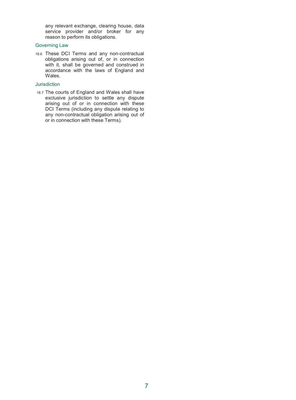any relevant exchange, clearing house, data service provider and/or broker for any reason to perform its obligations.

## Governing Law

18.6 These DCI Terms and any non-contractual obligations arising out of, or in connection with it, shall be governed and construed in accordance with the laws of England and Wales.

#### Jurisdiction

18.7 The courts of England and Wales shall have exclusive jurisdiction to settle any dispute arising out of or in connection with these DCI Terms (including any dispute relating to any non-contractual obligation arising out of or in connection with these Terms).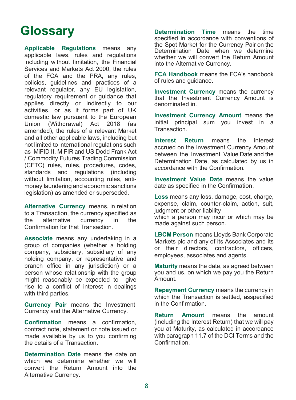## **Glossary**

Applicable Regulations means any applicable laws, rules and regulations including without limitation, the Financial Services and Markets Act 2000, the rules of the FCA and the PRA, any rules, policies, guidelines and practices of a relevant regulator, any EU legislation, regulatory requirement or guidance that applies directly or indirectly to our activities, or as it forms part of UK domestic law pursuant to the European Union (Withdrawal) Act 2018 (as amended), the rules of a relevant Market and all other applicable laws, including but not limited to international regulations such as MiFID II, MiFIR and US Dodd Frank Act / Commodity Futures Trading Commission (CFTC) rules, rules, procedures, codes, standards and regulations (including without limitation, accounting rules, antimoney laundering and economic sanctions legislation) as amended or superseded.

Alternative Currency means, in relation to a Transaction, the currency specified as the alternative currency in the Confirmation for that Transaction.

Associate means any undertaking in a group of companies (whether a holding company, subsidiary, subsidiary of any holding company, or representative and branch office in any jurisdiction) or a person whose relationship with the group might reasonably be expected to give rise to a conflict of interest in dealings with third parties.

Currency Pair means the Investment Currency and the Alternative Currency.

Confirmation means a confirmation, contract note, statement or note issued or made available by us to you confirming the details of a Transaction.

Determination Date means the date on which we determine whether we will convert the Return Amount into the Alternative Currency.

Determination Time means the time specified in accordance with conventions of the Spot Market for the Currency Pair on the Determination Date when we determine whether we will convert the Return Amount into the Alternative Currency.

FCA Handbook means the FCA's handbook of rules and guidance.

Investment Currency means the currency that the Investment Currency Amount is denominated in.

Investment Currency Amount means the initial principal sum you invest in a Transaction.

Interest Return means the interest accrued on the Investment Currency Amount between the Investment Value Date and the Determination Date, as calculated by us in accordance with the Confirmation.

Investment Value Date means the value date as specified in the Confirmation.

Loss means any loss, damage, cost, charge, expense, claim, counter-claim, action, suit, judgment or other liability which a person may incur or which may be made against such person.

LBCM Person means Lloyds Bank Corporate Markets plc and any of its Associates and its or their directors, contractors, officers, employees, associates and agents.

Maturity means the date, as agreed between you and us, on which we pay you the Return Amount.

Repayment Currency means the currency in which the Transaction is settled, asspecified in the Confirmation.

Return Amount means the amount (including the Interest Return) that we will pay you at Maturity, as calculated in accordance with paragraph 11.7 of the DCI Terms and the Confirmation.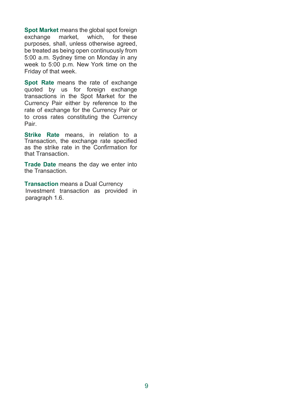Spot Market means the global spot foreign exchange market, which, for these purposes, shall, unless otherwise agreed, be treated as being open continuously from 5:00 a.m. Sydney time on Monday in any week to 5:00 p.m. New York time on the Friday of that week.

Spot Rate means the rate of exchange quoted by us for foreign exchange transactions in the Spot Market for the Currency Pair either by reference to the rate of exchange for the Currency Pair or to cross rates constituting the Currency Pair.

Strike Rate means, in relation to a Transaction, the exchange rate specified as the strike rate in the Confirmation for that Transaction.

Trade Date means the day we enter into the Transaction.

Transaction means a Dual Currency Investment transaction as provided in paragraph 1.6.